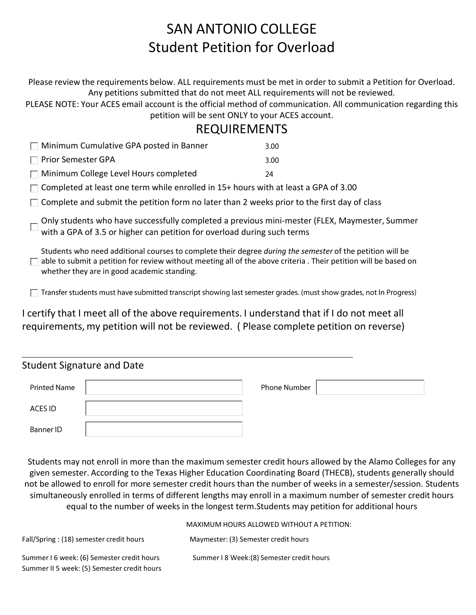# SAN ANTONIO COLLEGE Student Petition for Overload

Please review the requirements below. ALL requirements must be met in order to submit a Petition for Overload. Any petitions submitted that do not meet ALL requirements will not be reviewed.

PLEASE NOTE: Your ACES email account is the official method of communication. All communication regarding this petition will be sent ONLY to your ACES account.

### REQUIREMENTS

| $\Box$ Minimum Cumulative GPA posted in Banner | 3.00 |
|------------------------------------------------|------|
| $\Box$ Prior Semester GPA                      | 3.00 |
| $\Box$ Minimum College Level Hours completed   | 24   |
|                                                |      |

 $\Box$  Completed at least one term while enrolled in 15+ hours with at least a GPA of 3.00

 $\Box$  Complete and submit the petition form no later than 2 weeks prior to the first day of class

Only students who have successfully completed a previous mini-mester (FLEX, Maymester, Summer  $\square$  with a GPA of 3.5 or higher can petition for overload during such terms

Students who need additional courses to complete their degree *during the semester* of the petition will be  $\Box$  able to submit a petition for review without meeting all of the above criteria . Their petition will be based on whether they are in good academic standing.

 $\Box$  Transfer students must have submitted transcript showing last semester grades. (must show grades, not In Progress)

I certify that I meet all of the above requirements. I understand that if I do not meet all requirements, my petition will not be reviewed. ( Please complete petition on reverse)

| <b>Student Signature and Date</b> |  |              |  |  |  |  |
|-----------------------------------|--|--------------|--|--|--|--|
| Printed Name                      |  | Phone Number |  |  |  |  |
| ACES ID                           |  |              |  |  |  |  |
| Banner ID                         |  |              |  |  |  |  |

Students may not enroll in more than the maximum semester credit hours allowed by the Alamo Colleges for any given semester. According to the Texas Higher Education Coordinating Board (THECB), students generally should not be allowed to enroll for more semester credit hours than the number of weeks in a semester/session. Students simultaneously enrolled in terms of different lengths may enroll in a maximum number of semester credit hours equal to the number of weeks in the longest term.Students may petition for additional hours

MAXIMUM HOURS ALLOWED WITHOUT A PETITION: Fall/Spring : (18) semester credit hours Maymester: (3) Semester credit hours Summer I 6 week: (6) Semester credit hours Summer I 8 Week: (8) Semester credit hours Summer II 5 week: (5) Semester credit hours